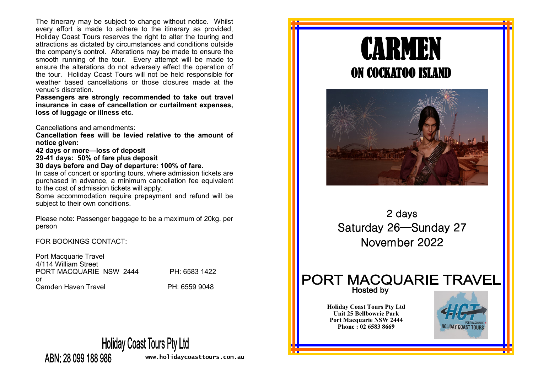The itinerary may be subject to change without notice. Whilst every effort is made to adhere to the itinerary as provided, Holiday Coast Tours reserves the right to alter the touring and attractions as dictated by circumstances and conditions outside the company's control. Alterations may be made to ensure the smooth running of the tour. Every attempt will be made to ensure the alterations do not adversely effect the operation of the tour. Holiday Coast Tours will not be held responsible for weather based cancellations or those closures made at the venue's discretion.

**Passengers are strongly recommended to take out travel insurance in case of cancellation or curtailment expenses, loss of luggage or illness etc.** 

Cancellations and amendments:

**Cancellation fees will be levied relative to the amount of notice given:**

**42 days or more—loss of deposit**

**29-41 days: 50% of fare plus deposit**

**30 days before and Day of departure: 100% of fare.**

In case of concert or sporting tours, where admission tickets are purchased in advance, a minimum cancellation fee equivalent to the cost of admission tickets will apply.

Some accommodation require prepayment and refund will be subject to their own conditions.

Please note: Passenger baggage to be a maximum of 20kg. per person

FOR BOOKINGS CONTACT:

Port Macquarie Travel 4/114 William Street PORT MACQUARIE NSW 2444 PH: 6583 1422 or Camden Haven Travel **PH: 6559 9048** 

# **Holiday Coast Tours Pty Ltd**

ABN: 28 099 188 986

**www.holidaycoasttours.com.au**



**Unit 25 Bellbowrie Park Port Macquarie NSW 2444 Phone : 02 6583 8669**